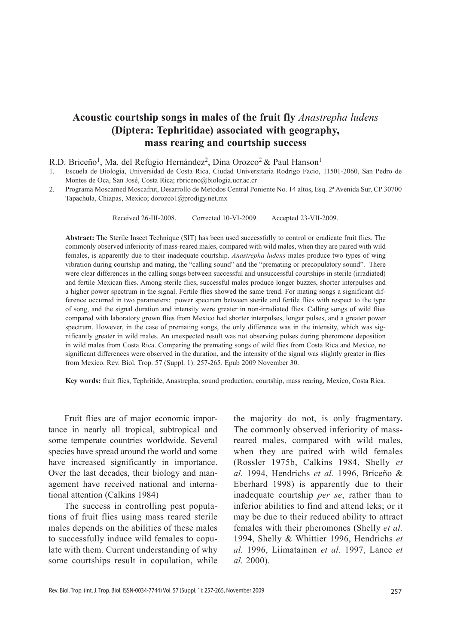# **Acoustic courtship songs in males of the fruit fly** *Anastrepha ludens* **(Diptera: Tephritidae) associated with geography, mass rearing and courtship success**

R.D. Briceño<sup>1</sup>, Ma. del Refugio Hernández<sup>2</sup>, Dina Orozco<sup>2</sup> & Paul Hanson<sup>1</sup>

1. Escuela de Biología, Universidad de Costa Rica, Ciudad Universitaria Rodrigo Facio, 11501-2060, San Pedro de Montes de Oca, San José, Costa Rica; rbriceno@biologia.ucr.ac.cr

2. Programa Moscamed Moscafrut, Desarrollo de Metodos Central Poniente No. 14 altos, Esq. 2ª Avenida Sur, CP 30700 Tapachula, Chiapas, Mexico; dorozco1@prodigy.net.mx

Received 26-III-2008. Corrected 10-VI-2009. Accepted 23-VII-2009.

**Abstract:** The Sterile Insect Technique (SIT) has been used successfully to control or eradicate fruit flies. The commonly observed inferiority of mass-reared males, compared with wild males, when they are paired with wild females, is apparently due to their inadequate courtship. *Anastrepha ludens* males produce two types of wing vibration during courtship and mating, the "calling sound" and the "premating or precopulatory sound". There were clear differences in the calling songs between successful and unsuccessful courtships in sterile (irradiated) and fertile Mexican flies. Among sterile flies, successful males produce longer buzzes, shorter interpulses and a higher power spectrum in the signal. Fertile flies showed the same trend. For mating songs a significant difference occurred in two parameters: power spectrum between sterile and fertile flies with respect to the type of song, and the signal duration and intensity were greater in non-irradiated flies. Calling songs of wild flies compared with laboratory grown flies from Mexico had shorter interpulses, longer pulses, and a greater power spectrum. However, in the case of premating songs, the only difference was in the intensity, which was significantly greater in wild males. An unexpected result was not observing pulses during pheromone deposition in wild males from Costa Rica. Comparing the premating songs of wild flies from Costa Rica and Mexico, no significant differences were observed in the duration, and the intensity of the signal was slightly greater in flies from Mexico. Rev. Biol. Trop. 57 (Suppl. 1): 257-265. Epub 2009 November 30.

**Key words:** fruit flies, Tephritide, Anastrepha, sound production, courtship, mass rearing, Mexico, Costa Rica.

Fruit flies are of major economic importance in nearly all tropical, subtropical and some temperate countries worldwide. Several species have spread around the world and some have increased significantly in importance. Over the last decades, their biology and management have received national and international attention (Calkins 1984)

The success in controlling pest populations of fruit flies using mass reared sterile males depends on the abilities of these males to successfully induce wild females to copulate with them. Current understanding of why some courtships result in copulation, while

the majority do not, is only fragmentary. The commonly observed inferiority of massreared males, compared with wild males, when they are paired with wild females (Rossler 1975b, Calkins 1984, Shelly *et al.* 1994, Hendrichs *et al.* 1996, Briceño & Eberhard 1998) is apparently due to their inadequate courtship *per se*, rather than to inferior abilities to find and attend leks; or it may be due to their reduced ability to attract females with their pheromones (Shelly *et al.* 1994, Shelly & Whittier 1996, Hendrichs *et al.* 1996, Liimatainen *et al.* 1997, Lance *et al.* 2000).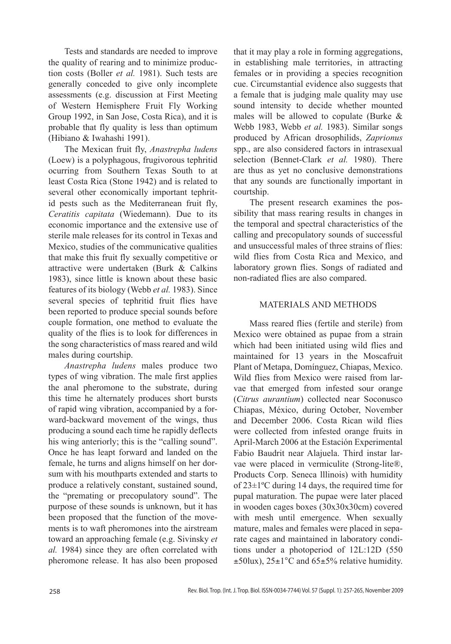Tests and standards are needed to improve the quality of rearing and to minimize production costs (Boller *et al.* 1981). Such tests are generally conceded to give only incomplete assessments (e.g. discussion at First Meeting of Western Hemisphere Fruit Fly Working Group 1992, in San Jose, Costa Rica), and it is probable that fly quality is less than optimum (Hibiano & Iwahashi 1991).

The Mexican fruit fly, *Anastrepha ludens* (Loew) is a polyphagous, frugivorous tephritid ocurring from Southern Texas South to at least Costa Rica (Stone 1942) and is related to several other economically important tephritid pests such as the Mediterranean fruit fly, *Ceratitis capitata* (Wiedemann). Due to its economic importance and the extensive use of sterile male releases for its control in Texas and Mexico, studies of the communicative qualities that make this fruit fly sexually competitive or attractive were undertaken (Burk & Calkins 1983), since little is known about these basic features of its biology (Webb *et al.* 1983). Since several species of tephritid fruit flies have been reported to produce special sounds before couple formation, one method to evaluate the quality of the flies is to look for differences in the song characteristics of mass reared and wild males during courtship.

*Anastrepha ludens* males produce two types of wing vibration. The male first applies the anal pheromone to the substrate, during this time he alternately produces short bursts of rapid wing vibration, accompanied by a forward-backward movement of the wings, thus producing a sound each time he rapidly deflects his wing anteriorly; this is the "calling sound". Once he has leapt forward and landed on the female, he turns and aligns himself on her dorsum with his mouthparts extended and starts to produce a relatively constant, sustained sound, the "premating or precopulatory sound". The purpose of these sounds is unknown, but it has been proposed that the function of the movements is to waft pheromones into the airstream toward an approaching female (e.g. Sivinsky *et al.* 1984) since they are often correlated with pheromone release. It has also been proposed that it may play a role in forming aggregations, in establishing male territories, in attracting females or in providing a species recognition cue. Circumstantial evidence also suggests that a female that is judging male quality may use sound intensity to decide whether mounted males will be allowed to copulate (Burke & Webb 1983, Webb *et al.* 1983). Similar songs produced by African drosophilids, *Zaprionus* spp., are also considered factors in intrasexual selection (Bennet-Clark *et al.* 1980). There are thus as yet no conclusive demonstrations that any sounds are functionally important in courtship.

The present research examines the possibility that mass rearing results in changes in the temporal and spectral characteristics of the calling and precopulatory sounds of successful and unsuccessful males of three strains of flies: wild flies from Costa Rica and Mexico, and laboratory grown flies. Songs of radiated and non-radiated flies are also compared.

## MATERIALS AND METHODS

Mass reared flies (fertile and sterile) from Mexico were obtained as pupae from a strain which had been initiated using wild flies and maintained for 13 years in the Moscafruit Plant of Metapa, Domínguez, Chiapas, Mexico. Wild flies from Mexico were raised from larvae that emerged from infested sour orange (*Citrus aurantium*) collected near Soconusco Chiapas, México, during October, November and December 2006. Costa Rican wild flies were collected from infested orange fruits in April-March 2006 at the Estación Experimental Fabio Baudrit near Alajuela. Third instar larvae were placed in vermiculite (Strong-lite®, Products Corp. Seneca lllinois) with humidity of 23±1ºC during 14 days, the required time for pupal maturation. The pupae were later placed in wooden cages boxes (30x30x30cm) covered with mesh until emergence. When sexually mature, males and females were placed in separate cages and maintained in laboratory conditions under a photoperiod of 12L:12D (550  $\pm$ 50lux), 25 $\pm$ 1°C and 65 $\pm$ 5% relative humidity.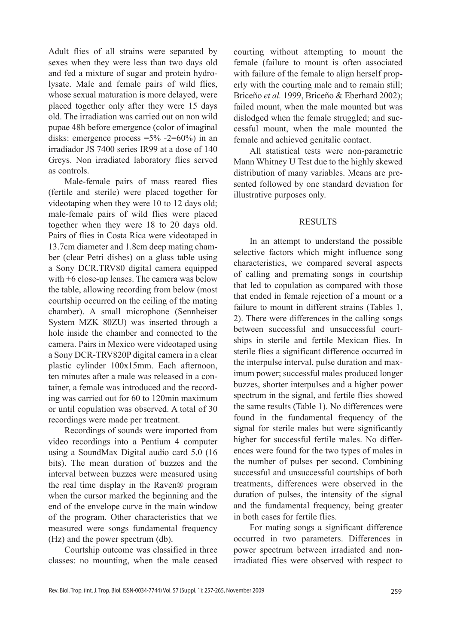Adult flies of all strains were separated by sexes when they were less than two days old and fed a mixture of sugar and protein hydrolysate. Male and female pairs of wild flies, whose sexual maturation is more delayed, were placed together only after they were 15 days old. The irradiation was carried out on non wild pupae 48h before emergence (color of imaginal disks: emergence process  $=5\% -2=60\%$  in an irradiador JS 7400 series IR99 at a dose of 140 Greys. Non irradiated laboratory flies served as controls.

Male-female pairs of mass reared flies (fertile and sterile) were placed together for videotaping when they were 10 to 12 days old; male-female pairs of wild flies were placed together when they were 18 to 20 days old. Pairs of flies in Costa Rica were videotaped in 13.7cm diameter and 1.8cm deep mating chamber (clear Petri dishes) on a glass table using a Sony DCR.TRV80 digital camera equipped with +6 close-up lenses. The camera was below the table, allowing recording from below (most courtship occurred on the ceiling of the mating chamber). A small microphone (Sennheiser System MZK 80ZU) was inserted through a hole inside the chamber and connected to the camera. Pairs in Mexico were videotaped using a Sony DCR-TRV820P digital camera in a clear plastic cylinder 100x15mm. Each afternoon, ten minutes after a male was released in a container, a female was introduced and the recording was carried out for 60 to 120min maximum or until copulation was observed. A total of 30 recordings were made per treatment.

Recordings of sounds were imported from video recordings into a Pentium 4 computer using a SoundMax Digital audio card 5.0 (16 bits). The mean duration of buzzes and the interval between buzzes were measured using the real time display in the Raven® program when the cursor marked the beginning and the end of the envelope curve in the main window of the program. Other characteristics that we measured were songs fundamental frequency (Hz) and the power spectrum (db).

Courtship outcome was classified in three classes: no mounting, when the male ceased courting without attempting to mount the female (failure to mount is often associated with failure of the female to align herself properly with the courting male and to remain still; Briceño *et al.* 1999, Briceño & Eberhard 2002); failed mount, when the male mounted but was dislodged when the female struggled; and successful mount, when the male mounted the female and achieved genitalic contact.

All statistical tests were non-parametric Mann Whitney U Test due to the highly skewed distribution of many variables. Means are presented followed by one standard deviation for illustrative purposes only.

### **RESULTS**

In an attempt to understand the possible selective factors which might influence song characteristics, we compared several aspects of calling and premating songs in courtship that led to copulation as compared with those that ended in female rejection of a mount or a failure to mount in different strains (Tables 1, 2). There were differences in the calling songs between successful and unsuccessful courtships in sterile and fertile Mexican flies. In sterile flies a significant difference occurred in the interpulse interval, pulse duration and maximum power; successful males produced longer buzzes, shorter interpulses and a higher power spectrum in the signal, and fertile flies showed the same results (Table 1). No differences were found in the fundamental frequency of the signal for sterile males but were significantly higher for successful fertile males. No differences were found for the two types of males in the number of pulses per second. Combining successful and unsuccessful courtships of both treatments, differences were observed in the duration of pulses, the intensity of the signal and the fundamental frequency, being greater in both cases for fertile flies.

For mating songs a significant difference occurred in two parameters. Differences in power spectrum between irradiated and nonirradiated flies were observed with respect to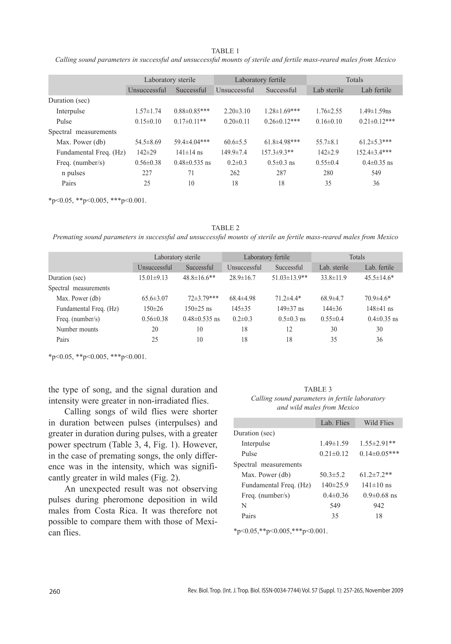#### TABLE 1

*Calling sound parameters in successful and unsuccessful mounts of sterile and fertile mass-reared males from Mexico*

| Laboratory sterile                    |                    | Laboratory fertile |                     | Totals          |                     |
|---------------------------------------|--------------------|--------------------|---------------------|-----------------|---------------------|
| Unsuccessful                          | Successful         | Unsuccessful       | Successful          | Lab sterile     | Lab fertile         |
|                                       |                    |                    |                     |                 |                     |
| $1.57 \pm 1.74$                       | $0.88\pm0.85***$   | $2.20\pm3.10$      | $1.28 \pm 1.69$ *** | $1.76 \pm 2.55$ | $1.49 \pm 1.59$ ns  |
| $0.15 \pm 0.10$                       | $0.17\pm0.11**$    | $0.20 \pm 0.11$    | $0.26 \pm 0.12$ *** | $0.16\pm0.10$   | $0.21 \pm 0.12$ *** |
|                                       |                    |                    |                     |                 |                     |
| $54.5\pm8.69$                         | 59.4 $\pm$ 4.04*** | $60.6 \pm 5.5$     | $61.8\pm4.98***$    | $55.7\pm8.1$    | $61.2 \pm 5.3$ ***  |
| $142\pm 29$<br>Fundamental Freq. (Hz) | $141 \pm 14$ ns    | $149.9 \pm 7.4$    | $157.3 \pm 9.3**$   | $142\pm2.9$     | $152.4\pm3.4***$    |
| $0.56 \pm 0.38$                       | $0.48\pm 0.535$ ns | $0.2\pm 0.3$       | $0.5 \pm 0.3$ ns    | $0.55 \pm 0.4$  | $0.4\pm 0.35$ ns    |
| 227                                   | 71                 | 262                | 287                 | 280             | 549                 |
| 25                                    | 10                 | 18                 | 18                  | 35              | 36                  |
|                                       |                    |                    |                     |                 |                     |

\*p<0.05, \*\*p<0.005, \*\*\*p<0.001.

TABLE 2 *Premating sound parameters in successful and unsuccessful mounts of sterile an fertile mass-reared males from Mexico*

|                        | Laboratory sterile |                     | Laboratory fertile |                     | Totals          |                  |
|------------------------|--------------------|---------------------|--------------------|---------------------|-----------------|------------------|
|                        | Unsuccessful       | Successful          | Unsuccessful       | Successful          | Lab. sterile    | Lab. fertile     |
| Duration (sec)         | $15.01\pm9.13$     | $48.8 \pm 16.6$ **  | $28.9 \pm 16.7$    | $51.03 \pm 13.9$ ** | $33.8 \pm 11.9$ | $45.5 \pm 14.6*$ |
| Spectral measurements  |                    |                     |                    |                     |                 |                  |
| Max. Power (db)        | $65.6 \pm 3.07$    | $72\pm3.79***$      | $68.4\pm4.98$      | $71.2\pm4.4*$       | $68.9{\pm}4.7$  | $70.9 \pm 4.6*$  |
| Fundamental Freq. (Hz) | $150 \pm 26$       | $150\pm25$ ns       | $145 \pm 35$       | $149\pm37$ ns       | $144\pm36$      | $148\pm41$ ns    |
| Freq. (number/s)       | $0.56 \pm 0.38$    | $0.48 \pm 0.535$ ns | $0.2\pm 0.3$       | $0.5 \pm 0.3$ ns    | $0.55 \pm 0.4$  | $0.4\pm0.35$ ns  |
| Number mounts          | 20                 | 10                  | 18                 | 12                  | 30              | 30               |
| Pairs                  | 25                 | 10                  | 18                 | 18                  | 35              | 36               |

 $*_{p<0.05}$ ,  $*_{p<0.005}$ ,  $*_{p<0.001}$ .

the type of song, and the signal duration and intensity were greater in non-irradiated flies.

Calling songs of wild flies were shorter in duration between pulses (interpulses) and greater in duration during pulses, with a greater power spectrum (Table 3, 4, Fig. 1). However, in the case of premating songs, the only difference was in the intensity, which was significantly greater in wild males (Fig. 2).

An unexpected result was not observing pulses during pheromone deposition in wild males from Costa Rica. It was therefore not possible to compare them with those of Mexican flies.

TABLE 3 *Calling sound parameters in fertile laboratory and wild males from Mexico*

|                        | Lab. Flies      | Wild Flies          |
|------------------------|-----------------|---------------------|
| Duration (sec)         |                 |                     |
| Interpulse             | $1.49 \pm 1.59$ | $1.55 \pm 2.91**$   |
| Pulse                  | $0.21 \pm 0.12$ | $0.14 \pm 0.05$ *** |
| Spectral measurements  |                 |                     |
| Max. Power (db)        | $50.3 \pm 5.2$  | 61 $2\pm7.2**$      |
| Fundamental Freq. (Hz) | $140\pm 25.9$   | $141 \pm 10$ ns     |
| Freq. $(number/s)$     | $0.4 \pm 0.36$  | $0.9 \pm 0.68$ ns   |
| N                      | 549             | 942                 |
| Pairs                  | 35              | 18                  |

\*p<0.05,\*\*p<0.005,\*\*\*p<0.001.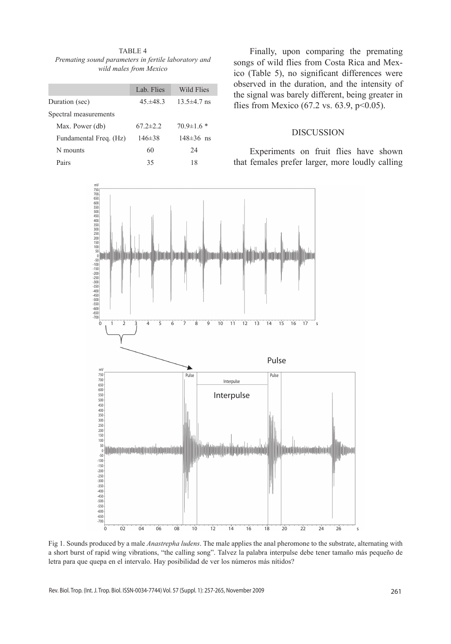TABLE 4 *Premating sound parameters in fertile laboratory and wild males from Mexico*

|                        | Lab. Flies     | Wild Flies       |
|------------------------|----------------|------------------|
| Duration (sec)         | $45 + 483$     | $13.5\pm4.7$ ns  |
| Spectral measurements  |                |                  |
| Max. Power (db)        | $67.2 \pm 2.2$ | $70.9 \pm 1.6$ * |
| Fundamental Freq. (Hz) | $146\pm38$     | $148 \pm 36$ ns  |
| N mounts               | 60             | 24               |
| Pairs                  | 35             | 18               |

Finally, upon comparing the premating songs of wild flies from Costa Rica and Mexico (Table 5), no significant differences were observed in the duration, and the intensity of the signal was barely different, being greater in flies from Mexico (67.2 vs. 63.9,  $p<0.05$ ).

#### DISCUSSION

Experiments on fruit flies have shown that females prefer larger, more loudly calling



Fig 1. Sounds produced by a male *Anastrepha ludens*. The male applies the anal pheromone to the substrate, alternating with a short burst of rapid wing vibrations, "the calling song". Talvez la palabra interpulse debe tener tamaño más pequeño de letra para que quepa en el intervalo. Hay posibilidad de ver los números más nítidos?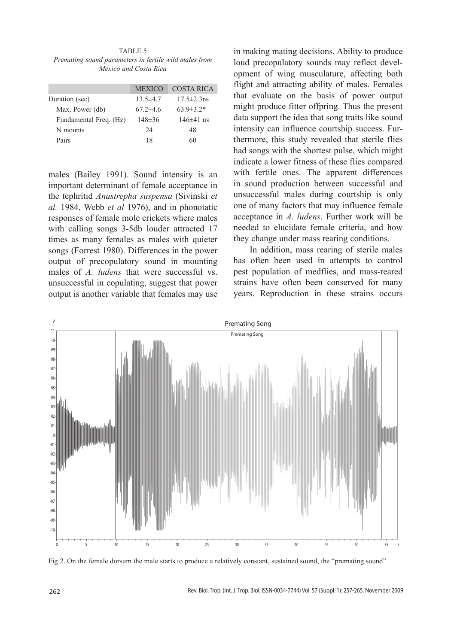TABLE 5 *Premating sound parameters in fertile wild males from Mexico and Costa Rica*

|                        | <b>MEXICO</b>  | COSTA RICA        |
|------------------------|----------------|-------------------|
| Duration (sec)         | $13.5 \pm 4.7$ | $17.5 \pm 2.3$ ns |
| Max. Power (db)        | $67.2 \pm 4.6$ | $63.9 \pm 3.2*$   |
| Fundamental Freq. (Hz) | $148 \pm 36$   | $146\pm41$ ns     |
| N mounts               | 24             | 48                |
| Pairs                  | 18             | 60                |
|                        |                |                   |

males (Bailey 1991). Sound intensity is an important determinant of female acceptance in the tephritid *Anastrepha suspensa* (Sivinski *et al.* 1984, Webb *et al* 1976), and in phonotatic responses of female mole crickets where males with calling songs 3-5db louder attracted 17 times as many females as males with quieter songs (Forrest 1980). Differences in the power output of precopulatory sound in mounting males of *A. ludens* that were successful vs. unsuccessful in copulating, suggest that power output is another variable that females may use

in making mating decisions. Ability to produce loud precopulatory sounds may reflect development of wing musculature, affecting both flight and attracting ability of males. Females that evaluate on the basis of power output might produce fitter offpring. Thus the present data support the idea that song traits like sound intensity can influence courtship success. Furthermore, this study revealed that sterile flies had songs with the shortest pulse, which might indicate a lower fitness of these flies compared with fertile ones. The apparent differences in sound production between successful and unsuccessful males during courtship is only one of many factors that may influence female acceptance in *A. ludens*. Further work will be needed to elucidate female criteria, and how they change under mass rearing conditions.

In addition, mass rearing of sterile males has often been used in attempts to control pest population of medflies, and mass-reared strains have often been conserved for many years. Reproduction in these strains occurs



Fig 2. On the female dorsum the male starts to produce a relatively constant, sustained sound, the "premating sound"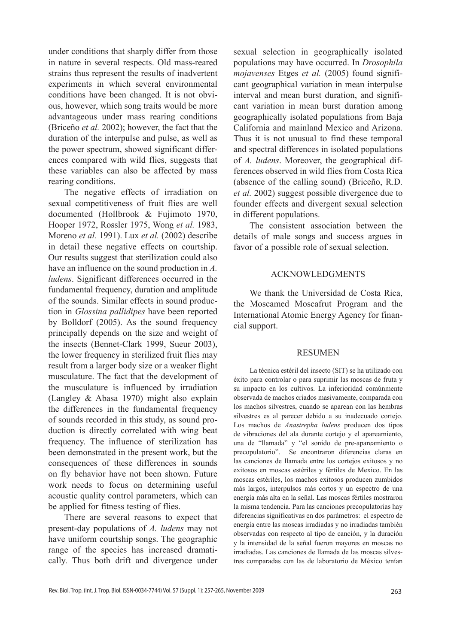under conditions that sharply differ from those in nature in several respects. Old mass-reared strains thus represent the results of inadvertent experiments in which several environmental conditions have been changed. It is not obvious, however, which song traits would be more advantageous under mass rearing conditions (Briceño *et al.* 2002); however, the fact that the duration of the interpulse and pulse, as well as the power spectrum, showed significant differences compared with wild flies, suggests that these variables can also be affected by mass rearing conditions.

The negative effects of irradiation on sexual competitiveness of fruit flies are well documented (Hollbrook & Fujimoto 1970, Hooper 1972, Rossler 1975, Wong *et al.* 1983, Moreno *et al.* 1991). Lux *et al.* (2002) describe in detail these negative effects on courtship. Our results suggest that sterilization could also have an influence on the sound production in *A. ludens*. Significant differences occurred in the fundamental frequency, duration and amplitude of the sounds. Similar effects in sound production in *Glossina pallidipes* have been reported by Bolldorf (2005). As the sound frequency principally depends on the size and weight of the insects (Bennet-Clark 1999, Sueur 2003), the lower frequency in sterilized fruit flies may result from a larger body size or a weaker flight musculature. The fact that the development of the musculature is influenced by irradiation (Langley & Abasa 1970) might also explain the differences in the fundamental frequency of sounds recorded in this study, as sound production is directly correlated with wing beat frequency. The influence of sterilization has been demonstrated in the present work, but the consequences of these differences in sounds on fly behavior have not been shown. Future work needs to focus on determining useful acoustic quality control parameters, which can be applied for fitness testing of flies.

There are several reasons to expect that present-day populations of *A. ludens* may not have uniform courtship songs. The geographic range of the species has increased dramatically. Thus both drift and divergence under sexual selection in geographically isolated populations may have occurred. In *Drosophila mojavenses* Etges *et al.* (2005) found significant geographical variation in mean interpulse interval and mean burst duration, and significant variation in mean burst duration among geographically isolated populations from Baja California and mainland Mexico and Arizona. Thus it is not unusual to find these temporal and spectral differences in isolated populations of *A. ludens*. Moreover, the geographical differences observed in wild flies from Costa Rica (absence of the calling sound) (Briceño, R.D. *et al.* 2002) suggest possible divergence due to founder effects and divergent sexual selection in different populations.

The consistent association between the details of male songs and success argues in favor of a possible role of sexual selection.

# ACKNOWLEDGMENTS

We thank the Universidad de Costa Rica, the Moscamed Moscafrut Program and the International Atomic Energy Agency for financial support.

#### **RESUMEN**

La técnica estéril del insecto (SIT) se ha utilizado con éxito para controlar o para suprimir las moscas de fruta y su impacto en los cultivos. La inferioridad comúnmente observada de machos criados masivamente, comparada con los machos silvestres, cuando se aparean con las hembras silvestres es al parecer debido a su inadecuado cortejo. Los machos de *Anastrepha ludens* producen dos tipos de vibraciones del ala durante cortejo y el apareamiento, una de "llamada" y "el sonido de pre-apareamiento o precopulatorio". Se encontraron diferencias claras en las canciones de llamada entre los cortejos exitosos y no exitosos en moscas estériles y fértiles de Mexico. En las moscas estériles, los machos exitosos producen zumbidos más largos, interpulsos más cortos y un espectro de una energía más alta en la señal. Las moscas fértiles mostraron la misma tendencia. Para las canciones precopulatorias hay diferencias significativas en dos parámetros: el espectro de energía entre las moscas irradiadas y no irradiadas también observadas con respecto al tipo de canción, y la duración y la intensidad de la señal fueron mayores en moscas no irradiadas. Las canciones de llamada de las moscas silvestres comparadas con las de laboratorio de México tenían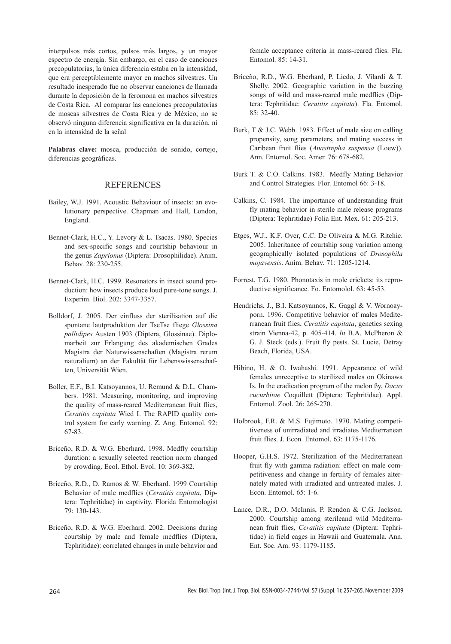interpulsos más cortos, pulsos más largos, y un mayor espectro de energía. Sin embargo, en el caso de canciones precopulatorias, la única diferencia estaba en la intensidad, que era perceptiblemente mayor en machos silvestres. Un resultado inesperado fue no observar canciones de llamada durante la deposición de la feromona en machos silvestres de Costa Rica. Al comparar las canciones precopulatorias de moscas silvestres de Costa Rica y de México, no se observó ninguna diferencia significativa en la duración, ni en la intensidad de la señal

**Palabras clave:** mosca, producción de sonido, cortejo, diferencias geográficas.

#### **REFERENCES**

- Bailey, W.J. 1991. Acoustic Behaviour of insects: an evolutionary perspective. Chapman and Hall, London, England.
- Bennet-Clark, H.C., Y. Levory & L. Tsacas. 1980. Species and sex-specific songs and courtship behaviour in the genus *Zaprionus* (Diptera: Drosophilidae). Anim. Behav. 28: 230-255.
- Bennet-Clark, H.C. 1999. Resonators in insect sound production: how insects produce loud pure-tone songs. J. Experim. Biol. 202: 3347-3357.
- Bolldorf, J. 2005. Der einfluss der sterilisation auf die spontane lautproduktion der TseTse fliege *Glossina pallidipes* Austen 1903 (Diptera, Glossinae). Diplomarbeit zur Erlangung des akademischen Grades Magistra der Naturwissenschaften (Magistra rerum naturalium) an der Fakultät für Lebenswissenschaften, Universität Wien.
- Boller, E.F., B.I. Katsoyannos, U. Remund & D.L. Chambers. 1981. Measuring, monitoring, and improving the quality of mass-reared Mediterranean fruit flies, *Ceratitis capitata* Wied I. The RAPID quality control system for early warning. Z. Ang. Entomol. 92: 67-83.
- Briceño, R.D. & W.G. Eberhard. 1998. Medfly courtship duration: a sexually selected reaction norm changed by crowding. Ecol. Ethol. Evol. 10: 369-382.
- Briceño, R.D., D. Ramos & W. Eberhard. 1999 Courtship Behavior of male medflies (*Ceratitis capitata*, Diptera: Tephritidae) in captivity. Florida Entomologist 79: 130-143.
- Briceño, R.D. & W.G. Eberhard. 2002. Decisions during courtship by male and female medflies (Diptera, Tephritidae): correlated changes in male behavior and

female acceptance criteria in mass-reared flies. Fla. Entomol. 85: 14-31.

- Briceño, R.D., W.G. Eberhard, P. Liedo, J. Vilardi & T. Shelly. 2002. Geographic variation in the buzzing songs of wild and mass-reared male medflies (Diptera: Tephritidae: *Ceratitis capitata*). Fla. Entomol. 85: 32-40.
- Burk, T & J.C. Webb. 1983. Effect of male size on calling propensity, song parameters, and mating success in Caribean fruit flies (*Anastrepha suspensa* (Loew)). Ann. Entomol. Soc. Amer. 76: 678-682.
- Burk T. & C.O. Calkins. 1983. Medfly Mating Behavior and Control Strategies. Flor. Entomol 66: 3-18.
- Calkins, C. 1984. The importance of understanding fruit fly mating behavior in sterile male release programs (Diptera: Tephritidae) Folia Ent. Mex. 61: 205-213.
- Etges, W.J., K.F. Over, C.C. De Oliveira & M.G. Ritchie. 2005. Inheritance of courtship song variation among geographically isolated populations of *Drosophila mojavensis*. Anim. Behav. 71: 1205-1214.
- Forrest, T.G. 1980. Phonotaxis in mole crickets: its reproductive significance. Fo. Entomolol. 63: 45-53.
- Hendrichs, J., B.I. Katsoyannos, K. Gaggl & V. Wornoayporn. 1996. Competitive behavior of males Mediterranean fruit flies, *Ceratitis capitata*, genetics sexing strain Vienna-42, p. 405-414. *In* B.A. McPheron & G. J. Steck (eds.). Fruit fly pests. St. Lucie, Detray Beach, Florida, USA.
- Hibino, H. & O. Iwahashi. 1991. Appearance of wild females unreceptive to sterilized males on Okinawa Is. In the eradication program of the melon ßy, *Dacus cucurbitae* Coquillett (Diptera: Tephritidae). Appl. Entomol. Zool. 26: 265-270.
- Holbrook, F.R. & M.S. Fujimoto. 1970. Mating competitiveness of unirradiated and irradiates Mediterranean fruit flies. J. Econ. Entomol. 63: 1175-1176.
- Hooper, G.H.S. 1972. Sterilization of the Mediterranean fruit fly with gamma radiation: effect on male competitiveness and change in fertility of females alternately mated with irradiated and untreated males. J. Econ. Entomol. 65: 1-6.
- Lance, D.R., D.O. McInnis, P. Rendon & C.G. Jackson. 2000. Courtship among sterileand wild Mediterranean fruit flies, *Ceratitis capitata* (Diptera: Tephritidae) in field cages in Hawaii and Guatemala. Ann. Ent. Soc. Am. 93: 1179-1185.